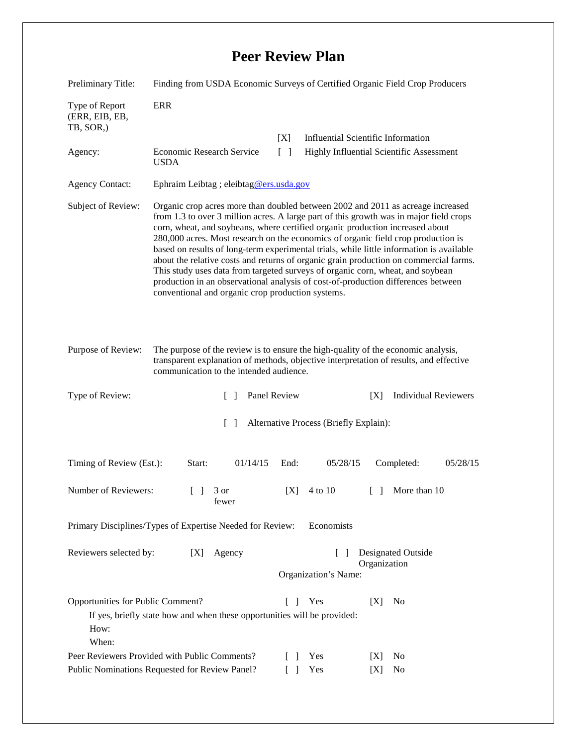## **Peer Review Plan**

| Preliminary Title:                                                                                                                                                                             | Finding from USDA Economic Surveys of Certified Organic Field Crop Producers                                                                                                                                                                                                                                                                                                                                                                                                                                                                                                                                                                                                                                                                                     |                                                             |                                |                                                       |  |
|------------------------------------------------------------------------------------------------------------------------------------------------------------------------------------------------|------------------------------------------------------------------------------------------------------------------------------------------------------------------------------------------------------------------------------------------------------------------------------------------------------------------------------------------------------------------------------------------------------------------------------------------------------------------------------------------------------------------------------------------------------------------------------------------------------------------------------------------------------------------------------------------------------------------------------------------------------------------|-------------------------------------------------------------|--------------------------------|-------------------------------------------------------|--|
| Type of Report<br>(ERR, EIB, EB,<br>TB, SOR,)                                                                                                                                                  | <b>ERR</b>                                                                                                                                                                                                                                                                                                                                                                                                                                                                                                                                                                                                                                                                                                                                                       |                                                             |                                |                                                       |  |
|                                                                                                                                                                                                |                                                                                                                                                                                                                                                                                                                                                                                                                                                                                                                                                                                                                                                                                                                                                                  | [X]                                                         |                                | <b>Influential Scientific Information</b>             |  |
| Agency:                                                                                                                                                                                        | Economic Research Service<br><b>USDA</b>                                                                                                                                                                                                                                                                                                                                                                                                                                                                                                                                                                                                                                                                                                                         | Highly Influential Scientific Assessment<br>$\lceil \rceil$ |                                |                                                       |  |
| <b>Agency Contact:</b>                                                                                                                                                                         | Ephraim Leibtag ; eleibtag@ers.usda.gov                                                                                                                                                                                                                                                                                                                                                                                                                                                                                                                                                                                                                                                                                                                          |                                                             |                                |                                                       |  |
| Subject of Review:                                                                                                                                                                             | Organic crop acres more than doubled between 2002 and 2011 as acreage increased<br>from 1.3 to over 3 million acres. A large part of this growth was in major field crops<br>corn, wheat, and soybeans, where certified organic production increased about<br>280,000 acres. Most research on the economics of organic field crop production is<br>based on results of long-term experimental trials, while little information is available<br>about the relative costs and returns of organic grain production on commercial farms.<br>This study uses data from targeted surveys of organic corn, wheat, and soybean<br>production in an observational analysis of cost-of-production differences between<br>conventional and organic crop production systems. |                                                             |                                |                                                       |  |
| Purpose of Review:                                                                                                                                                                             | The purpose of the review is to ensure the high-quality of the economic analysis,<br>transparent explanation of methods, objective interpretation of results, and effective<br>communication to the intended audience.                                                                                                                                                                                                                                                                                                                                                                                                                                                                                                                                           |                                                             |                                |                                                       |  |
| Type of Review:                                                                                                                                                                                | $\Box$                                                                                                                                                                                                                                                                                                                                                                                                                                                                                                                                                                                                                                                                                                                                                           | Panel Review                                                |                                | <b>Individual Reviewers</b><br>[X]                    |  |
| $\lceil \rceil$<br>Alternative Process (Briefly Explain):                                                                                                                                      |                                                                                                                                                                                                                                                                                                                                                                                                                                                                                                                                                                                                                                                                                                                                                                  |                                                             |                                |                                                       |  |
| Timing of Review (Est.):                                                                                                                                                                       | Start:<br>01/14/15                                                                                                                                                                                                                                                                                                                                                                                                                                                                                                                                                                                                                                                                                                                                               | End:                                                        | 05/28/15                       | Completed:<br>05/28/15                                |  |
| Number of Reviewers:                                                                                                                                                                           | 3 or<br>$\Box$<br>fewer                                                                                                                                                                                                                                                                                                                                                                                                                                                                                                                                                                                                                                                                                                                                          | [X]                                                         | 4 to 10                        | More than 10<br>$\begin{bmatrix} 1 & 1 \end{bmatrix}$ |  |
| Economists<br>Primary Disciplines/Types of Expertise Needed for Review:                                                                                                                        |                                                                                                                                                                                                                                                                                                                                                                                                                                                                                                                                                                                                                                                                                                                                                                  |                                                             |                                |                                                       |  |
| Reviewers selected by:                                                                                                                                                                         | [X]<br>Agency                                                                                                                                                                                                                                                                                                                                                                                                                                                                                                                                                                                                                                                                                                                                                    |                                                             | $\Box$<br>Organization's Name: | <b>Designated Outside</b><br>Organization             |  |
| Opportunities for Public Comment?<br>Yes<br>[X]<br>N <sub>0</sub><br>$\mathbf{L}$<br>$\mathbf{I}$<br>If yes, briefly state how and when these opportunities will be provided:<br>How:<br>When: |                                                                                                                                                                                                                                                                                                                                                                                                                                                                                                                                                                                                                                                                                                                                                                  |                                                             |                                |                                                       |  |
| Peer Reviewers Provided with Public Comments?                                                                                                                                                  |                                                                                                                                                                                                                                                                                                                                                                                                                                                                                                                                                                                                                                                                                                                                                                  |                                                             | Yes                            | No<br>[X]                                             |  |
| Public Nominations Requested for Review Panel?<br>Yes<br>No<br>$\Box$<br>[X]                                                                                                                   |                                                                                                                                                                                                                                                                                                                                                                                                                                                                                                                                                                                                                                                                                                                                                                  |                                                             |                                |                                                       |  |